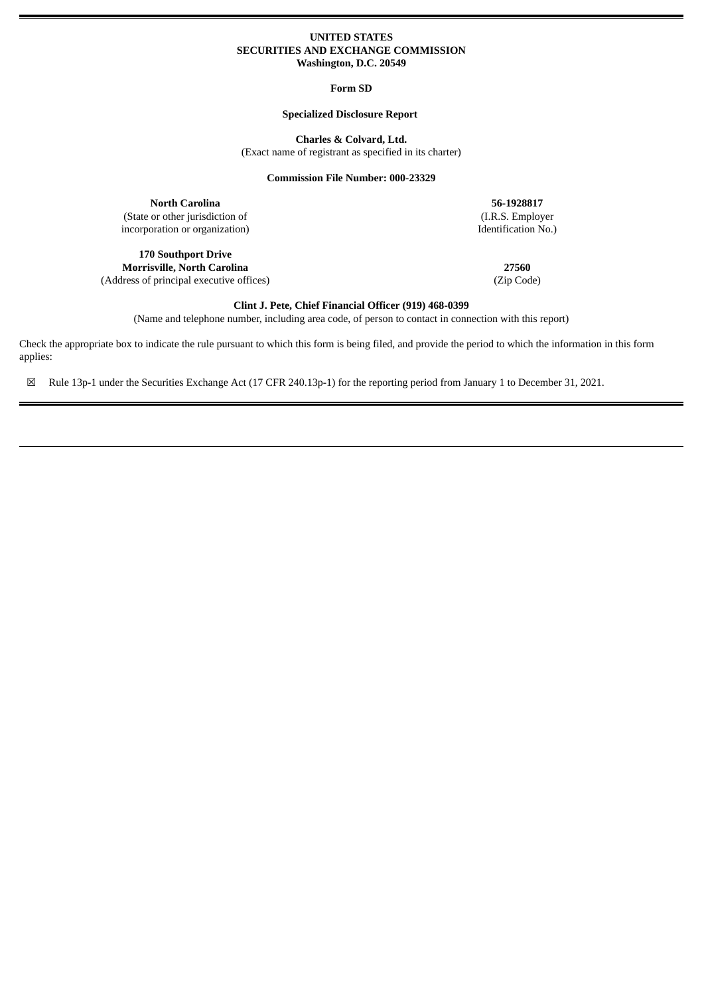## **UNITED STATES SECURITIES AND EXCHANGE COMMISSION Washington, D.C. 20549**

**Form SD**

## **Specialized Disclosure Report**

**Charles & Colvard, Ltd.**

(Exact name of registrant as specified in its charter)

**Commission File Number: 000-23329**

**North Carolina 56-1928817** (State or other jurisdiction of (I.R.S. Employer incorporation or organization) leads to the state of the control of the control of the control of the control of the control of the control of the control of the control of incorporation or organization)

**170 Southport Drive**

**Morrisville, North Carolina 27560** (Address of principal executive offices) (Zip Code)

**Clint J. Pete, Chief Financial Officer (919) 468-0399**

(Name and telephone number, including area code, of person to contact in connection with this report)

Check the appropriate box to indicate the rule pursuant to which this form is being filed, and provide the period to which the information in this form applies:

☒ Rule 13p-1 under the Securities Exchange Act (17 CFR 240.13p-1) for the reporting period from January 1 to December 31, 2021.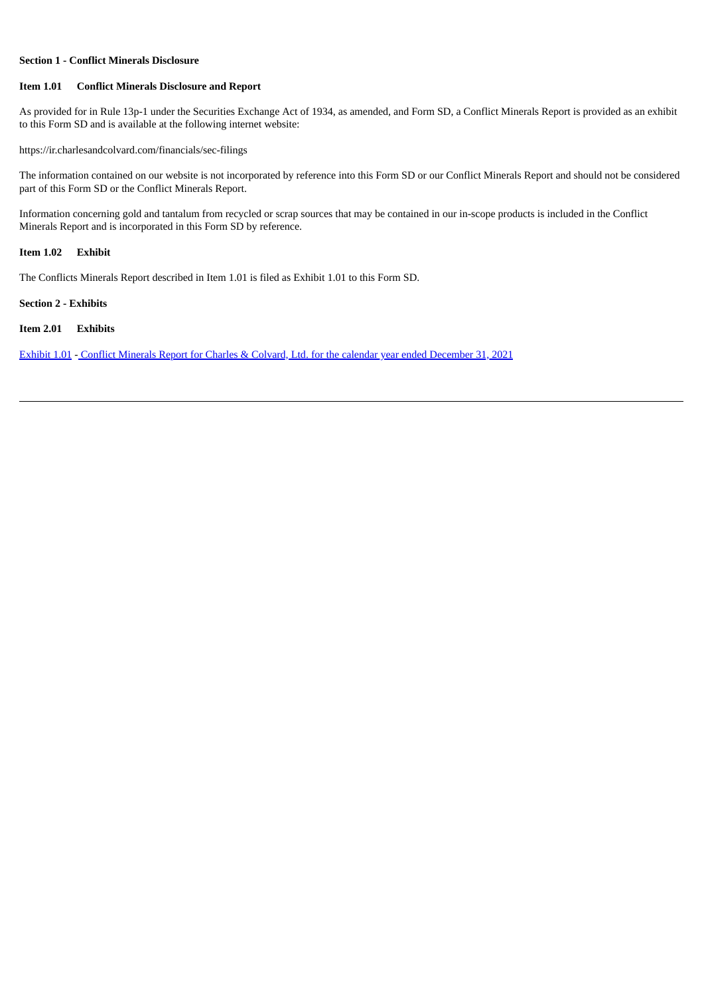## **Section 1 - Conflict Minerals Disclosure**

#### **Item 1.01 Conflict Minerals Disclosure and Report**

As provided for in Rule 13p-1 under the Securities Exchange Act of 1934, as amended, and Form SD, a Conflict Minerals Report is provided as an exhibit to this Form SD and is available at the following internet website:

https://ir.charlesandcolvard.com/financials/sec-filings

The information contained on our website is not incorporated by reference into this Form SD or our Conflict Minerals Report and should not be considered part of this Form SD or the Conflict Minerals Report.

Information concerning gold and tantalum from recycled or scrap sources that may be contained in our in-scope products is included in the Conflict Minerals Report and is incorporated in this Form SD by reference.

#### **Item 1.02 Exhibit**

The Conflicts Minerals Report described in Item 1.01 is filed as Exhibit 1.01 to this Form SD.

## **Section 2 - Exhibits**

## **Item 2.01 Exhibits**

[Exhibit](#page-3-0) 1.01 - Conflict Minerals Report for Charles & Colvard, Ltd. for the calendar year ended [December](#page-3-0) 31, 2021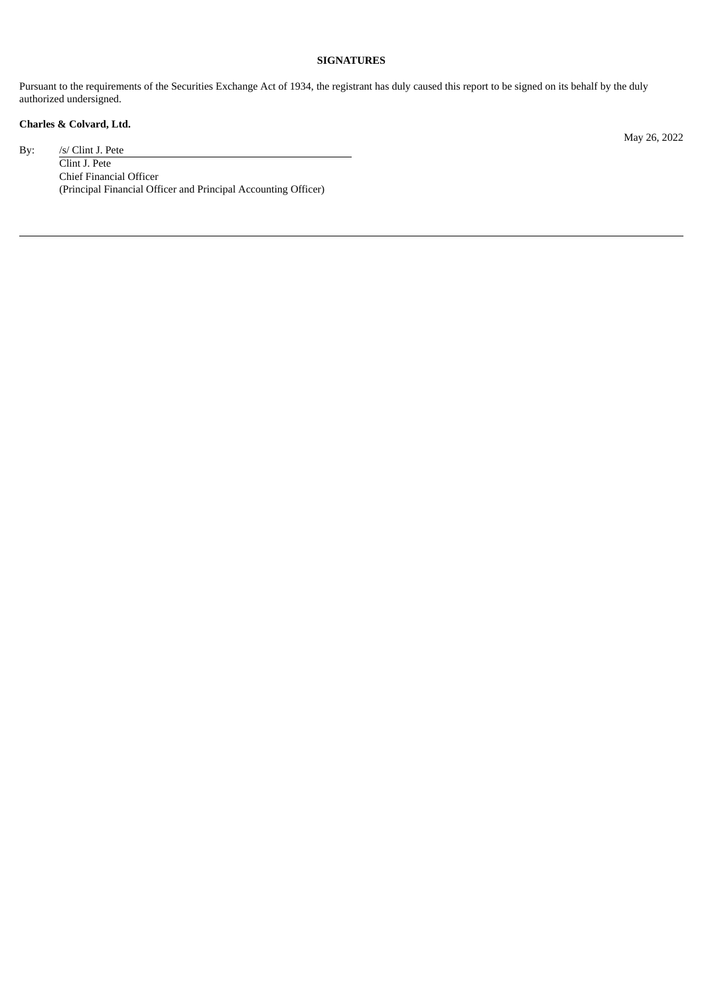## **SIGNATURES**

Pursuant to the requirements of the Securities Exchange Act of 1934, the registrant has duly caused this report to be signed on its behalf by the duly authorized undersigned.

# **Charles & Colvard, Ltd.**

By: /s/ Clint J. Pete

May 26, 2022

Clint J. Pete Chief Financial Officer (Principal Financial Officer and Principal Accounting Officer)